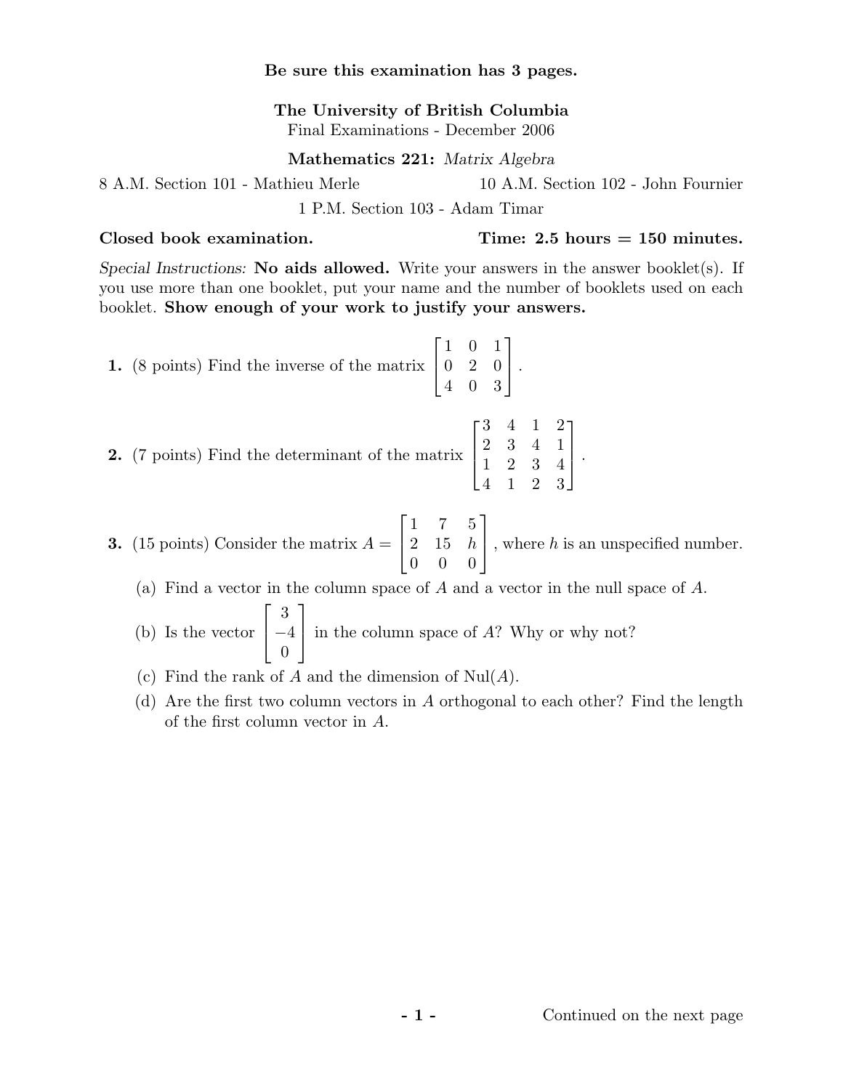## Be sure this examination has 3 pages.

The University of British Columbia Final Examinations - December 2006

# Mathematics 221: Matrix Algebra

8 A.M. Section 101 - Mathieu Merle 10 A.M. Section 102 - John Fournier

1 P.M. Section 103 - Adam Timar

Special Instructions: No aids allowed. Write your answers in the answer booklet(s). If you use more than one booklet, put your name and the number of booklets used on each booklet. Show enough of your work to justify your answers.

**1.** (8 points) Find the inverse of the matrix 
$$
\begin{bmatrix} 1 & 0 & 1 \ 0 & 2 & 0 \ 4 & 0 & 3 \end{bmatrix}
$$
.

2. (7 points) Find the determinant of the matrix  $\overline{\phantom{a}}$ 2 3 4 1 1 2 3 4 4 1 2 3  $\overline{a}$  $\vert$ .

**3.** (15 points) Consider the matrix 
$$
A = \begin{bmatrix} 1 & 7 & 5 \\ 2 & 15 & h \\ 0 & 0 & 0 \end{bmatrix}
$$
, where *h* is an unspecified number.

 $\overline{a}$ 

(a) Find a vector in the column space of A and a vector in the null space of A.  $\frac{1}{\sqrt{2}}$ יי<br>ד

(b) Is the vector 
$$
\begin{bmatrix} 3 \\ -4 \\ 0 \end{bmatrix}
$$
 in the column space of A? Why or why not?

- (c) Find the rank of A and the dimension of  $\text{Nul}(A)$ .
- (d) Are the first two column vectors in A orthogonal to each other? Find the length of the first column vector in A.

 $\text{Closed book examination.}$  Time: 2.5 hours = 150 minutes.

 $\overline{r}$ 3 4 1 2

 $\overline{a}$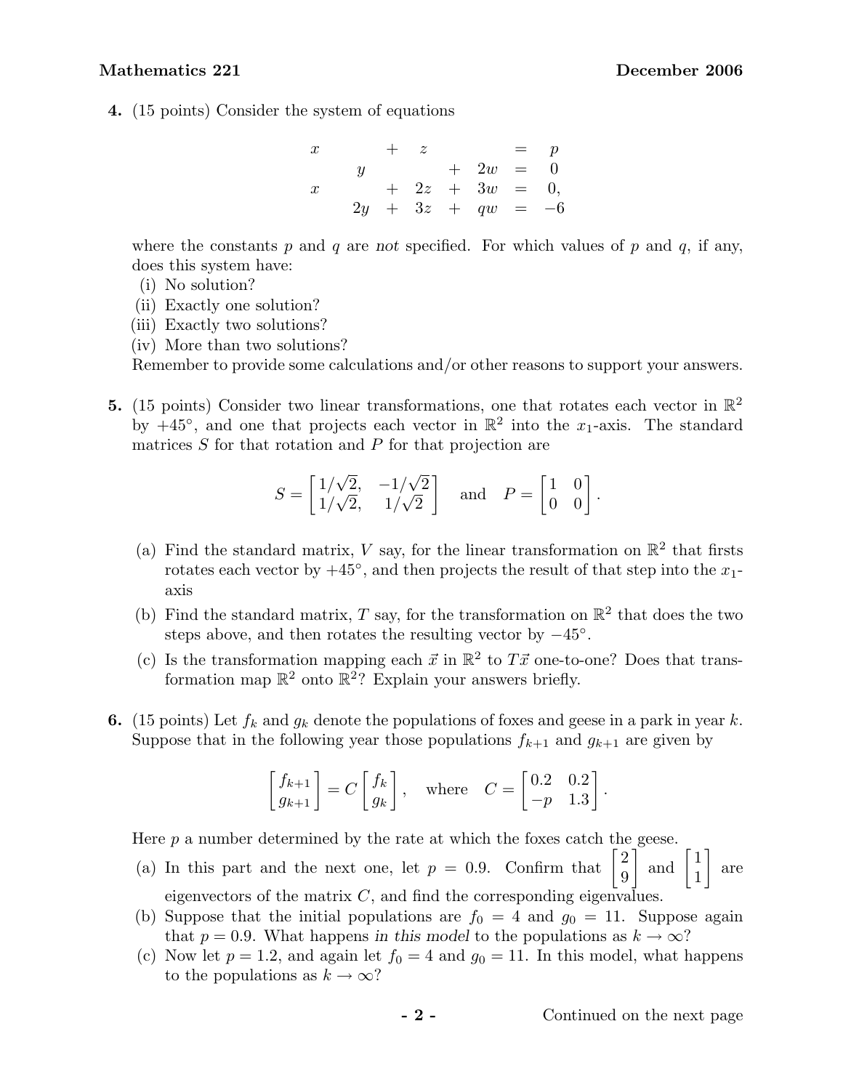### Mathematics 221 December 2006

4. (15 points) Consider the system of equations

$$
\begin{array}{ccccccccc}\nx & + & z & = & p \\
y & + & 2w & = & 0 \\
x & + & 2z & + & 3w & = & 0 \\
2y & + & 3z & + & qw & = & -6\n\end{array}
$$

where the constants  $p$  and  $q$  are not specified. For which values of  $p$  and  $q$ , if any, does this system have:

- (i) No solution?
- (ii) Exactly one solution?
- (iii) Exactly two solutions?
- (iv) More than two solutions?

Remember to provide some calculations and/or other reasons to support your answers.

**5.** (15 points) Consider two linear transformations, one that rotates each vector in  $\mathbb{R}^2$ by  $+45^{\circ}$ , and one that projects each vector in  $\mathbb{R}^2$  into the  $x_1$ -axis. The standard matrices S for that rotation and P for that projection are

$$
S = \begin{bmatrix} 1/\sqrt{2}, & -1/\sqrt{2} \\ 1/\sqrt{2}, & 1/\sqrt{2} \end{bmatrix} \text{ and } P = \begin{bmatrix} 1 & 0 \\ 0 & 0 \end{bmatrix}.
$$

- (a) Find the standard matrix, V say, for the linear transformation on  $\mathbb{R}^2$  that firsts rotates each vector by  $+45^{\circ}$ , and then projects the result of that step into the  $x_1$ axis
- (b) Find the standard matrix, T say, for the transformation on  $\mathbb{R}^2$  that does the two steps above, and then rotates the resulting vector by  $-45^\circ$ .
- (c) Is the transformation mapping each  $\vec{x}$  in  $\mathbb{R}^2$  to  $T\vec{x}$  one-to-one? Does that transformation map  $\mathbb{R}^2$  onto  $\mathbb{R}^2$ ? Explain your answers briefly.
- 6. (15 points) Let  $f_k$  and  $g_k$  denote the populations of foxes and geese in a park in year k. Suppose that in the following year those populations  $f_{k+1}$  and  $g_{k+1}$  are given by

$$
\begin{bmatrix} f_{k+1} \\ g_{k+1} \end{bmatrix} = C \begin{bmatrix} f_k \\ g_k \end{bmatrix}, \text{ where } C = \begin{bmatrix} 0.2 & 0.2 \\ -p & 1.3 \end{bmatrix}.
$$

Here  $p$  a number determined by the rate at which the foxes catch the geese.

- Here p a number determined by the rate at which the foxes catch the<br>
(a) In this part and the next one, let  $p = 0.9$ . Confirm that  $\begin{bmatrix} 2 \\ 0 \end{bmatrix}$  $\begin{bmatrix} 2 \\ 9 \end{bmatrix}$  and  $\begin{bmatrix} 1 \\ 1 \end{bmatrix}$ 1 are eigenvectors of the matrix  $C$ , and find the corresponding eigenvalues.
- (b) Suppose that the initial populations are  $f_0 = 4$  and  $g_0 = 11$ . Suppose again that  $p = 0.9$ . What happens in this model to the populations as  $k \to \infty$ ?
- (c) Now let  $p = 1.2$ , and again let  $f_0 = 4$  and  $g_0 = 11$ . In this model, what happens to the populations as  $k \to \infty$ ?

 $\overline{a}$